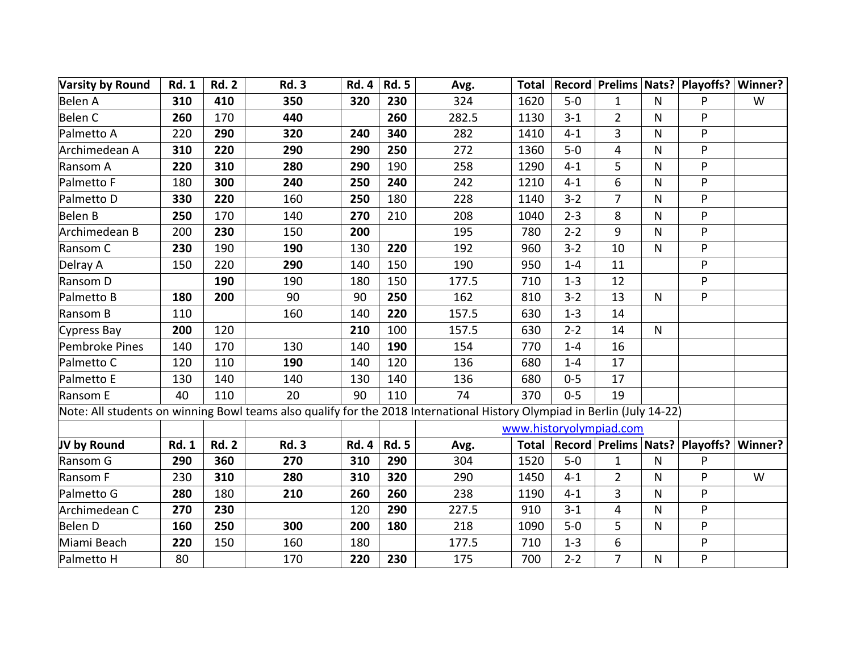| <b>Varsity by Round</b>                                                                                                  | <b>Rd. 1</b> | <b>Rd. 2</b> | <b>Rd. 3</b> | <b>Rd. 4</b> | <b>Rd. 5</b> | Avg.  |              |         |                         |              | Total   Record   Prelims   Nats?   Playoffs?   Winner? |         |
|--------------------------------------------------------------------------------------------------------------------------|--------------|--------------|--------------|--------------|--------------|-------|--------------|---------|-------------------------|--------------|--------------------------------------------------------|---------|
| Belen A                                                                                                                  | 310          | 410          | 350          | 320          | 230          | 324   | 1620         | $5-0$   | $\mathbf{1}$            | $\mathsf{N}$ | P                                                      | W       |
| Belen C                                                                                                                  | 260          | 170          | 440          |              | 260          | 282.5 | 1130         | $3 - 1$ | $\overline{2}$          | $\mathsf{N}$ | P                                                      |         |
| Palmetto A                                                                                                               | 220          | 290          | 320          | 240          | 340          | 282   | 1410         | $4 - 1$ | 3                       | N            | P                                                      |         |
| Archimedean A                                                                                                            | 310          | 220          | 290          | 290          | 250          | 272   | 1360         | $5-0$   | 4                       | N            | P                                                      |         |
| Ransom A                                                                                                                 | 220          | 310          | 280          | 290          | 190          | 258   | 1290         | $4 - 1$ | 5                       | N            | P                                                      |         |
| Palmetto F                                                                                                               | 180          | 300          | 240          | 250          | 240          | 242   | 1210         | $4 - 1$ | 6                       | N            | P                                                      |         |
| Palmetto D                                                                                                               | 330          | 220          | 160          | 250          | 180          | 228   | 1140         | $3 - 2$ | $\overline{7}$          | N            | P                                                      |         |
| Belen B                                                                                                                  | 250          | 170          | 140          | 270          | 210          | 208   | 1040         | $2 - 3$ | 8                       | N            | P                                                      |         |
| Archimedean B                                                                                                            | 200          | 230          | 150          | 200          |              | 195   | 780          | $2 - 2$ | 9                       | $\mathsf{N}$ | P                                                      |         |
| Ransom C                                                                                                                 | 230          | 190          | 190          | 130          | 220          | 192   | 960          | $3 - 2$ | 10                      | N            | ${\sf P}$                                              |         |
| Delray A                                                                                                                 | 150          | 220          | 290          | 140          | 150          | 190   | 950          | $1 - 4$ | 11                      |              | P                                                      |         |
| Ransom D                                                                                                                 |              | 190          | 190          | 180          | 150          | 177.5 | 710          | $1 - 3$ | 12                      |              | P                                                      |         |
| Palmetto B                                                                                                               | 180          | 200          | 90           | 90           | 250          | 162   | 810          | $3 - 2$ | 13                      | $\mathsf{N}$ | P                                                      |         |
| Ransom B                                                                                                                 | 110          |              | 160          | 140          | 220          | 157.5 | 630          | $1 - 3$ | 14                      |              |                                                        |         |
| Cypress Bay                                                                                                              | 200          | 120          |              | 210          | 100          | 157.5 | 630          | $2 - 2$ | 14                      | $\mathsf{N}$ |                                                        |         |
| Pembroke Pines                                                                                                           | 140          | 170          | 130          | 140          | 190          | 154   | 770          | $1 - 4$ | 16                      |              |                                                        |         |
| Palmetto C                                                                                                               | 120          | 110          | 190          | 140          | 120          | 136   | 680          | $1 - 4$ | 17                      |              |                                                        |         |
| Palmetto E                                                                                                               | 130          | 140          | 140          | 130          | 140          | 136   | 680          | $0 - 5$ | 17                      |              |                                                        |         |
| Ransom E                                                                                                                 | 40           | 110          | 20           | 90           | 110          | 74    | 370          | $0 - 5$ | 19                      |              |                                                        |         |
| Note: All students on winning Bowl teams also qualify for the 2018 International History Olympiad in Berlin (July 14-22) |              |              |              |              |              |       |              |         |                         |              |                                                        |         |
|                                                                                                                          |              |              |              |              |              |       |              |         | www.historyolympiad.com |              |                                                        |         |
| JV by Round                                                                                                              | <b>Rd. 1</b> | <b>Rd. 2</b> | <b>Rd. 3</b> | <b>Rd. 4</b> | <b>Rd. 5</b> | Avg.  | <b>Total</b> |         |                         |              | Record   Prelims   Nats?   Playoffs?                   | Winner? |
| Ransom G                                                                                                                 | 290          | 360          | 270          | 310          | 290          | 304   | 1520         | $5-0$   | $\mathbf{1}$            | ${\sf N}$    | P                                                      |         |
| Ransom F                                                                                                                 | 230          | 310          | 280          | 310          | 320          | 290   | 1450         | $4 - 1$ | $\overline{2}$          | $\mathsf{N}$ | P                                                      | W       |
| Palmetto G                                                                                                               | 280          | 180          | 210          | 260          | 260          | 238   | 1190         | $4 - 1$ | 3                       | N            | P                                                      |         |
| Archimedean C                                                                                                            | 270          | 230          |              | 120          | 290          | 227.5 | 910          | $3 - 1$ | $\overline{4}$          | N            | P                                                      |         |
| Belen D                                                                                                                  | 160          | 250          | 300          | 200          | 180          | 218   | 1090         | $5-0$   | 5                       | ${\sf N}$    | P                                                      |         |
| Miami Beach                                                                                                              | 220          | 150          | 160          | 180          |              | 177.5 | 710          | $1 - 3$ | 6                       |              | P                                                      |         |
| Palmetto H                                                                                                               | 80           |              | 170          | 220          | 230          | 175   | 700          | $2 - 2$ | $\overline{7}$          | $\mathsf{N}$ | P                                                      |         |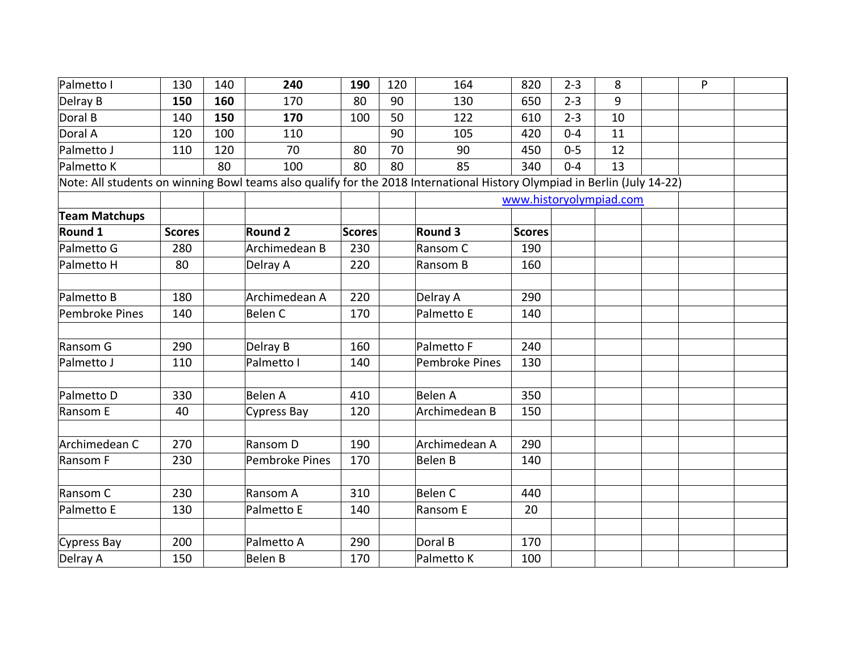| Palmetto I                                                                                                               | 130           | 140 | 240            | 190    | 120 | 164            | 820           | $2 - 3$ | 8  | P |  |
|--------------------------------------------------------------------------------------------------------------------------|---------------|-----|----------------|--------|-----|----------------|---------------|---------|----|---|--|
| Delray B                                                                                                                 | 150           | 160 | 170            | 80     | 90  | 130            | 650           | $2 - 3$ | 9  |   |  |
| Doral B                                                                                                                  | 140           | 150 | 170            | 100    | 50  | 122            | 610           | $2 - 3$ | 10 |   |  |
| Doral A                                                                                                                  | 120           | 100 | 110            |        | 90  | 105            | 420           | $0 - 4$ | 11 |   |  |
| Palmetto J                                                                                                               | 110           | 120 | 70             | 80     | 70  | 90             | 450           | $0 - 5$ | 12 |   |  |
| Palmetto K                                                                                                               |               | 80  | 100            | 80     | 80  | 85             | 340           | $0 - 4$ | 13 |   |  |
| Note: All students on winning Bowl teams also qualify for the 2018 International History Olympiad in Berlin (July 14-22) |               |     |                |        |     |                |               |         |    |   |  |
| www.historyolympiad.com                                                                                                  |               |     |                |        |     |                |               |         |    |   |  |
| <b>Team Matchups</b>                                                                                                     |               |     |                |        |     |                |               |         |    |   |  |
| Round 1                                                                                                                  | <b>Scores</b> |     | <b>Round 2</b> | Scores |     | <b>Round 3</b> | <b>Scores</b> |         |    |   |  |
| Palmetto G                                                                                                               | 280           |     | Archimedean B  | 230    |     | Ransom C       | 190           |         |    |   |  |
| Palmetto H                                                                                                               | 80            |     | Delray A       | 220    |     | Ransom B       | 160           |         |    |   |  |
|                                                                                                                          |               |     |                |        |     |                |               |         |    |   |  |
| Palmetto B                                                                                                               | 180           |     | Archimedean A  | 220    |     | Delray A       | 290           |         |    |   |  |
| Pembroke Pines                                                                                                           | 140           |     | Belen C        | 170    |     | Palmetto E     | 140           |         |    |   |  |
|                                                                                                                          |               |     |                |        |     |                |               |         |    |   |  |
| Ransom G                                                                                                                 | 290           |     | Delray B       | 160    |     | Palmetto F     | 240           |         |    |   |  |
| Palmetto J                                                                                                               | 110           |     | Palmetto I     | 140    |     | Pembroke Pines | 130           |         |    |   |  |
|                                                                                                                          |               |     |                |        |     |                |               |         |    |   |  |
| Palmetto D                                                                                                               | 330           |     | Belen A        | 410    |     | <b>Belen A</b> | 350           |         |    |   |  |
| Ransom E                                                                                                                 | 40            |     | Cypress Bay    | 120    |     | Archimedean B  | 150           |         |    |   |  |
|                                                                                                                          |               |     |                |        |     |                |               |         |    |   |  |
| Archimedean C                                                                                                            | 270           |     | Ransom D       | 190    |     | Archimedean A  | 290           |         |    |   |  |
| Ransom F                                                                                                                 | 230           |     | Pembroke Pines | 170    |     | <b>Belen B</b> | 140           |         |    |   |  |
|                                                                                                                          |               |     |                |        |     |                |               |         |    |   |  |
| Ransom C                                                                                                                 | 230           |     | Ransom A       | 310    |     | <b>Belen C</b> | 440           |         |    |   |  |
| Palmetto E                                                                                                               | 130           |     | Palmetto E     | 140    |     | Ransom E       | 20            |         |    |   |  |
|                                                                                                                          |               |     |                |        |     |                |               |         |    |   |  |
| Cypress Bay                                                                                                              | 200           |     | Palmetto A     | 290    |     | Doral B        | 170           |         |    |   |  |
| Delray A                                                                                                                 | 150           |     | Belen B        | 170    |     | Palmetto K     | 100           |         |    |   |  |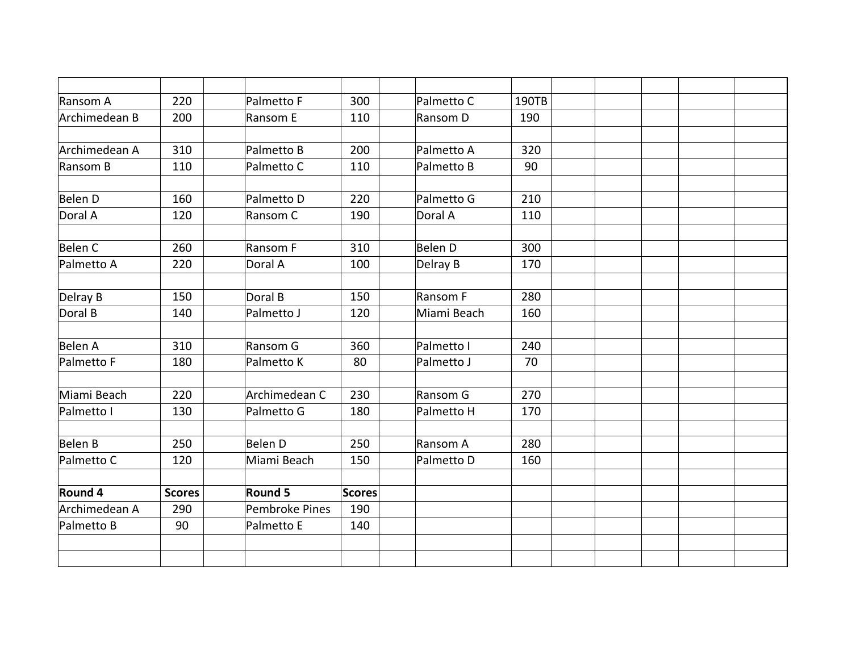| Ransom A       | 220           | Palmetto F     | 300    | Palmetto C  | 190TB |  |  |
|----------------|---------------|----------------|--------|-------------|-------|--|--|
| Archimedean B  | 200           | Ransom E       | 110    | Ransom D    | 190   |  |  |
|                |               |                |        |             |       |  |  |
| Archimedean A  | 310           | Palmetto B     | 200    | Palmetto A  | 320   |  |  |
| Ransom B       | 110           | Palmetto C     | 110    | Palmetto B  | 90    |  |  |
| <b>Belen D</b> | 160           | Palmetto D     | 220    | Palmetto G  | 210   |  |  |
| Doral A        | 120           | Ransom C       | 190    | Doral A     | 110   |  |  |
| <b>Belen C</b> | 260           | Ransom F       | 310    | Belen D     | 300   |  |  |
| Palmetto A     | 220           | Doral A        | 100    |             |       |  |  |
|                |               |                |        | Delray B    | 170   |  |  |
| Delray B       | 150           | Doral B        | 150    | Ransom F    | 280   |  |  |
| Doral B        | 140           | Palmetto J     | 120    | Miami Beach | 160   |  |  |
|                |               |                |        |             |       |  |  |
| Belen A        | 310           | Ransom G       | 360    | Palmetto I  | 240   |  |  |
| Palmetto F     | 180           | Palmetto K     | 80     | Palmetto J  | 70    |  |  |
| Miami Beach    | 220           | Archimedean C  | 230    | Ransom G    | 270   |  |  |
| Palmetto I     | 130           | Palmetto G     | 180    | Palmetto H  | 170   |  |  |
|                |               |                |        |             |       |  |  |
| Belen B        | 250           | Belen D        | 250    | Ransom A    | 280   |  |  |
| Palmetto C     | 120           | Miami Beach    | 150    | Palmetto D  | 160   |  |  |
| Round 4        | <b>Scores</b> | Round 5        | Scores |             |       |  |  |
| Archimedean A  | 290           | Pembroke Pines | 190    |             |       |  |  |
| Palmetto B     | 90            | Palmetto E     | 140    |             |       |  |  |
|                |               |                |        |             |       |  |  |
|                |               |                |        |             |       |  |  |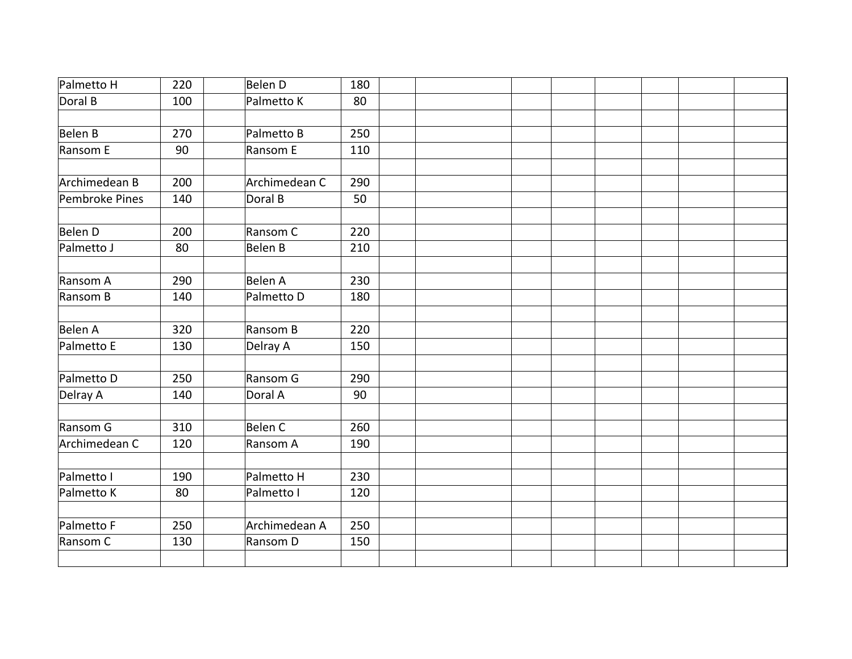| Palmetto H     | 220 | Belen D       | 180 |  |  |  |  |  |
|----------------|-----|---------------|-----|--|--|--|--|--|
| Doral B        | 100 | Palmetto K    | 80  |  |  |  |  |  |
|                |     |               |     |  |  |  |  |  |
| Belen B        | 270 | Palmetto B    | 250 |  |  |  |  |  |
| Ransom E       | 90  | Ransom E      | 110 |  |  |  |  |  |
|                |     |               |     |  |  |  |  |  |
| Archimedean B  | 200 | Archimedean C | 290 |  |  |  |  |  |
| Pembroke Pines | 140 | Doral B       | 50  |  |  |  |  |  |
|                |     |               |     |  |  |  |  |  |
| Belen D        | 200 | Ransom C      | 220 |  |  |  |  |  |
| Palmetto J     | 80  | Belen B       | 210 |  |  |  |  |  |
|                |     |               |     |  |  |  |  |  |
| Ransom A       | 290 | Belen A       | 230 |  |  |  |  |  |
| Ransom B       | 140 | Palmetto D    | 180 |  |  |  |  |  |
|                |     |               |     |  |  |  |  |  |
| Belen A        | 320 | Ransom B      | 220 |  |  |  |  |  |
| Palmetto E     | 130 | Delray A      | 150 |  |  |  |  |  |
|                |     |               |     |  |  |  |  |  |
| Palmetto D     | 250 | Ransom G      | 290 |  |  |  |  |  |
| Delray A       | 140 | Doral A       | 90  |  |  |  |  |  |
|                |     |               |     |  |  |  |  |  |
| Ransom G       | 310 | Belen C       | 260 |  |  |  |  |  |
| Archimedean C  | 120 | Ransom A      | 190 |  |  |  |  |  |
|                |     |               |     |  |  |  |  |  |
| Palmetto I     | 190 | Palmetto H    | 230 |  |  |  |  |  |
| Palmetto K     | 80  | Palmetto I    | 120 |  |  |  |  |  |
| Palmetto F     | 250 | Archimedean A | 250 |  |  |  |  |  |
|                |     |               |     |  |  |  |  |  |
| Ransom C       | 130 | Ransom D      | 150 |  |  |  |  |  |
|                |     |               |     |  |  |  |  |  |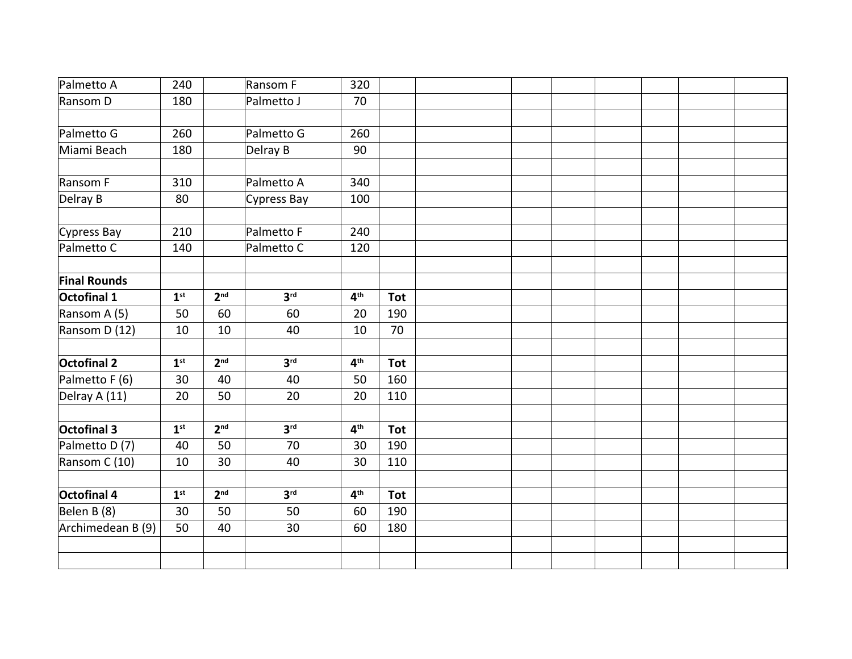| Palmetto A          | 240             |                 | Ransom F        | 320             |            |  |  |  |  |
|---------------------|-----------------|-----------------|-----------------|-----------------|------------|--|--|--|--|
| Ransom D            | 180             |                 | Palmetto J      | 70              |            |  |  |  |  |
|                     |                 |                 |                 |                 |            |  |  |  |  |
| Palmetto G          | 260             |                 | Palmetto G      | 260             |            |  |  |  |  |
| Miami Beach         | 180             |                 | Delray B        | 90              |            |  |  |  |  |
|                     |                 |                 |                 |                 |            |  |  |  |  |
| Ransom F            | 310             |                 | Palmetto A      | 340             |            |  |  |  |  |
| Delray B            | 80              |                 | Cypress Bay     | 100             |            |  |  |  |  |
| Cypress Bay         | 210             |                 | Palmetto F      | 240             |            |  |  |  |  |
| Palmetto C          | 140             |                 | Palmetto C      | 120             |            |  |  |  |  |
|                     |                 |                 |                 |                 |            |  |  |  |  |
| <b>Final Rounds</b> |                 |                 |                 |                 |            |  |  |  |  |
| Octofinal 1         | 1 <sup>st</sup> | 2 <sub>nd</sub> | 3 <sup>rd</sup> | 4 <sup>th</sup> | <b>Tot</b> |  |  |  |  |
| Ransom A (5)        | 50              | 60              | 60              | 20              | 190        |  |  |  |  |
| Ransom D (12)       | 10              | 10              | 40              | 10              | 70         |  |  |  |  |
| <b>Octofinal 2</b>  | 1 <sup>st</sup> | 2 <sub>nd</sub> | 3 <sup>rd</sup> | 4 <sup>th</sup> | <b>Tot</b> |  |  |  |  |
| Palmetto F (6)      | 30              | 40              | 40              | 50              | 160        |  |  |  |  |
| Delray A (11)       | 20              | 50              | 20              | 20              | 110        |  |  |  |  |
|                     |                 |                 |                 |                 |            |  |  |  |  |
| Octofinal 3         | 1 <sup>st</sup> | 2 <sup>nd</sup> | 3 <sup>rd</sup> | 4 <sup>th</sup> | <b>Tot</b> |  |  |  |  |
| Palmetto D(7)       | 40              | 50              | 70              | 30              | 190        |  |  |  |  |
| Ransom C (10)       | 10              | 30              | 40              | 30              | 110        |  |  |  |  |
|                     |                 |                 |                 |                 |            |  |  |  |  |
| Octofinal 4         | 1 <sup>st</sup> | 2 <sub>nd</sub> | 3 <sup>rd</sup> | 4 <sup>th</sup> | <b>Tot</b> |  |  |  |  |
| Belen B (8)         | 30              | 50              | 50              | 60              | 190        |  |  |  |  |
| Archimedean B (9)   | 50              | 40              | 30              | 60              | 180        |  |  |  |  |
|                     |                 |                 |                 |                 |            |  |  |  |  |
|                     |                 |                 |                 |                 |            |  |  |  |  |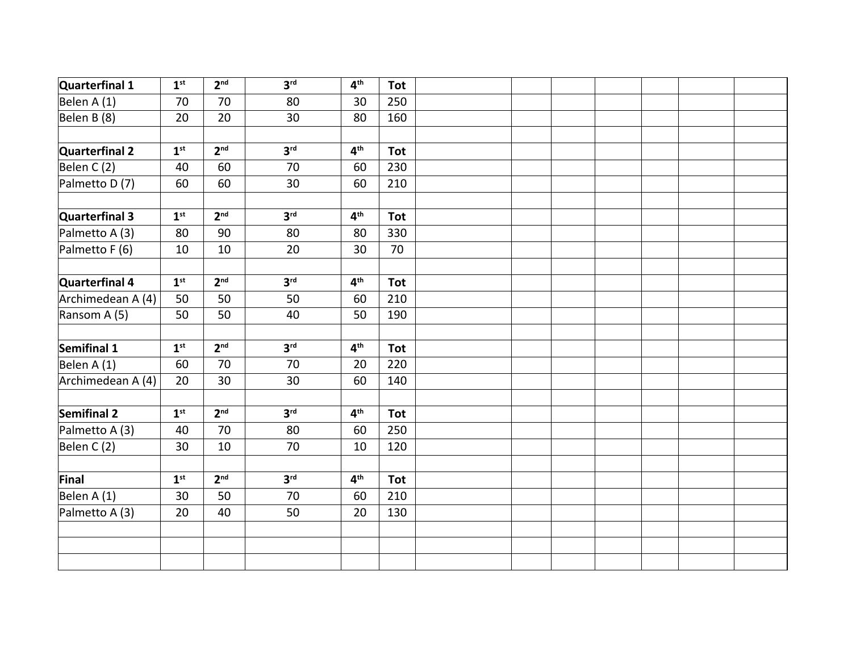| Quarterfinal 1    | 1 <sup>st</sup> | 2 <sup>nd</sup> | 3 <sup>rd</sup> | 4 <sup>th</sup> | <b>Tot</b> |  |  |  |  |
|-------------------|-----------------|-----------------|-----------------|-----------------|------------|--|--|--|--|
| Belen A (1)       | 70              | 70              | 80              | 30              | 250        |  |  |  |  |
| Belen B (8)       | 20              | 20              | 30              | 80              | 160        |  |  |  |  |
|                   |                 |                 |                 |                 |            |  |  |  |  |
| Quarterfinal 2    | 1 <sup>st</sup> | 2 <sup>nd</sup> | 3 <sup>rd</sup> | 4 <sup>th</sup> | <b>Tot</b> |  |  |  |  |
| Belen C (2)       | 40              | 60              | 70              | 60              | 230        |  |  |  |  |
| Palmetto D(7)     | 60              | 60              | 30              | 60              | 210        |  |  |  |  |
|                   |                 |                 |                 |                 |            |  |  |  |  |
| Quarterfinal 3    | 1 <sup>st</sup> | 2 <sub>nd</sub> | 3 <sup>rd</sup> | 4 <sup>th</sup> | <b>Tot</b> |  |  |  |  |
| Palmetto A (3)    | 80              | 90              | 80              | 80              | 330        |  |  |  |  |
| Palmetto F (6)    | 10              | 10              | 20              | 30              | 70         |  |  |  |  |
|                   |                 |                 |                 |                 |            |  |  |  |  |
| Quarterfinal 4    | 1 <sup>st</sup> | 2 <sup>nd</sup> | 3 <sup>rd</sup> | 4 <sup>th</sup> | <b>Tot</b> |  |  |  |  |
| Archimedean A (4) | 50              | 50              | 50              | 60              | 210        |  |  |  |  |
| Ransom A (5)      | 50              | 50              | 40              | 50              | 190        |  |  |  |  |
|                   |                 |                 |                 |                 |            |  |  |  |  |
| Semifinal 1       | 1 <sup>st</sup> | 2 <sup>nd</sup> | 3 <sup>rd</sup> | 4 <sup>th</sup> | <b>Tot</b> |  |  |  |  |
| Belen A (1)       | 60              | 70              | 70              | 20              | 220        |  |  |  |  |
| Archimedean A (4) | 20              | 30              | 30              | 60              | 140        |  |  |  |  |
|                   |                 |                 |                 |                 |            |  |  |  |  |
| Semifinal 2       | 1 <sup>st</sup> | 2 <sup>nd</sup> | 3 <sup>rd</sup> | 4 <sup>th</sup> | <b>Tot</b> |  |  |  |  |
| Palmetto A (3)    | 40              | 70              | 80              | 60              | 250        |  |  |  |  |
| Belen C (2)       | 30              | 10              | 70              | 10              | 120        |  |  |  |  |
|                   |                 |                 |                 |                 |            |  |  |  |  |
| Final             | 1 <sup>st</sup> | 2 <sup>nd</sup> | 3 <sup>rd</sup> | 4 <sup>th</sup> | <b>Tot</b> |  |  |  |  |
| Belen A (1)       | 30              | 50              | 70              | 60              | 210        |  |  |  |  |
| Palmetto A (3)    | 20              | 40              | 50              | 20              | 130        |  |  |  |  |
|                   |                 |                 |                 |                 |            |  |  |  |  |
|                   |                 |                 |                 |                 |            |  |  |  |  |
|                   |                 |                 |                 |                 |            |  |  |  |  |